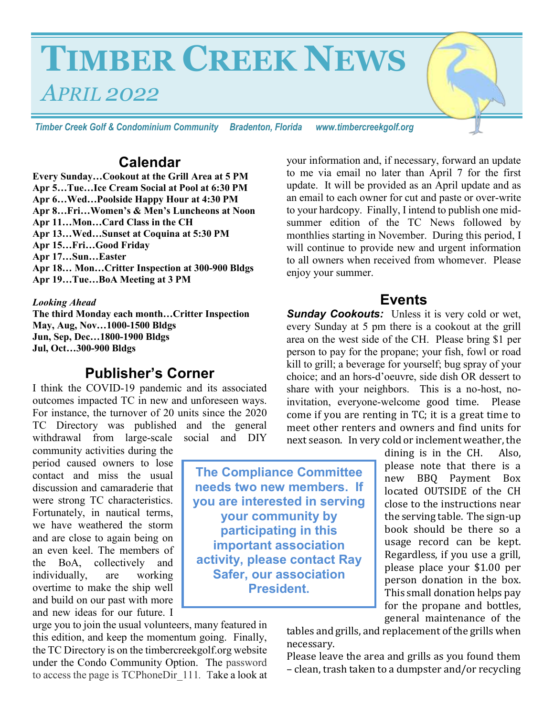# **TIMBER CREEK NEWS**  *APRIL 2022*

*Timber Creek Golf & Condominium Community Bradenton, Florida www.timbercreekgolf.org* 

## **Calendar**

**Every Sunday…Cookout at the Grill Area at 5 PM Apr 5…Tue…Ice Cream Social at Pool at 6:30 PM Apr 6…Wed…Poolside Happy Hour at 4:30 PM Apr 8…Fri…Women's & Men's Luncheons at Noon Apr 11…Mon…Card Class in the CH Apr 13…Wed…Sunset at Coquina at 5:30 PM Apr 15…Fri…Good Friday Apr 17…Sun…Easter Apr 18… Mon…Critter Inspection at 300-900 Bldgs Apr 19…Tue…BoA Meeting at 3 PM**

#### *Looking Ahead*

**The third Monday each month…Critter Inspection May, Aug, Nov…1000-1500 Bldgs Jun, Sep, Dec…1800-1900 Bldgs Jul, Oct…300-900 Bldgs**

## **Publisher's Corner**

I think the COVID-19 pandemic and its associated outcomes impacted TC in new and unforeseen ways. For instance, the turnover of 20 units since the 2020 TC Directory was published and the general withdrawal from large-scale social and DIY

community activities during the period caused owners to lose contact and miss the usual discussion and camaraderie that were strong TC characteristics. Fortunately, in nautical terms, we have weathered the storm and are close to again being on an even keel. The members of the BoA, collectively and individually, are working overtime to make the ship well and build on our past with more and new ideas for our future. I

urge you to join the usual volunteers, many featured in this edition, and keep the momentum going. Finally, the TC Directory is on the timbercreekgolf.org website under the Condo Community Option. The password to access the page is TCPhoneDir\_111*.* Take a look at your information and, if necessary, forward an update to me via email no later than April 7 for the first update. It will be provided as an April update and as an email to each owner for cut and paste or over-write to your hardcopy. Finally, I intend to publish one midsummer edition of the TC News followed by monthlies starting in November. During this period, I will continue to provide new and urgent information to all owners when received from whomever. Please enjoy your summer.

#### **Events**

**Sunday Cookouts:** Unless it is very cold or wet, every Sunday at 5 pm there is a cookout at the grill area on the west side of the CH. Please bring \$1 per person to pay for the propane; your fish, fowl or road kill to grill; a beverage for yourself; bug spray of your choice; and an hors-d'oeuvre, side dish OR dessert to share with your neighbors. This is a no-host, noinvitation, everyone-welcome good time. Please come if you are renting in TC; it is a great time to meet other renters and owners and find units for next season. In very cold or inclement weather, the

> dining is in the CH. Also, please note that there is a new BBQ Payment Box located OUTSIDE of the CH close to the instructions near the serving table. The sign-up book should be there so a usage record can be kept. Regardless, if you use a grill, please place your \$1.00 per person donation in the box. This small donation helps pay for the propane and bottles, general maintenance of the

tables and grills, and replacement of the grills when necessary.

Please leave the area and grills as you found them – clean, trash taken to a dumpster and/or recycling

**The Compliance Committee needs two new members. If you are interested in serving your community by participating in this important association activity, please contact Ray Safer, our association President.**

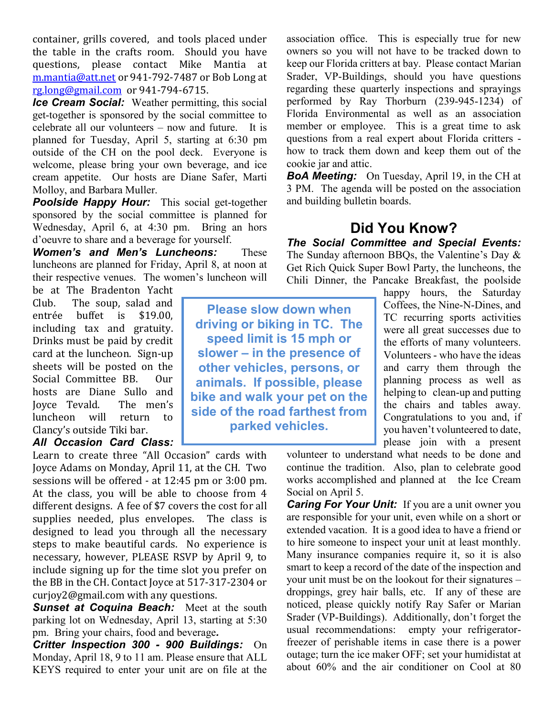container, grills covered, and tools placed under the table in the crafts room. Should you have questions, please contact Mike Mantia at m.mantia@att.net or 941-792-7487 or Bob Long at rg.long@gmail.com or 941-794-6715.

*Ice Cream Social:* Weather permitting, this social get-together is sponsored by the social committee to celebrate all our volunteers – now and future. It is planned for Tuesday, April 5, starting at 6:30 pm outside of the CH on the pool deck. Everyone is welcome, please bring your own beverage, and ice cream appetite. Our hosts are Diane Safer, Marti Molloy, and Barbara Muller.

**Poolside Happy Hour:** This social get-together sponsored by the social committee is planned for Wednesday, April 6, at 4:30 pm. Bring an hors d'oeuvre to share and a beverage for yourself.

*Women's and Men's Luncheons:* These luncheons are planned for Friday, April 8, at noon at their respective venues. The women's luncheon will

be at The Bradenton Yacht Club. The soup, salad and entrée buffet is \$19.00, including tax and gratuity. Drinks must be paid by credit card at the luncheon. Sign-up sheets will be posted on the Social Committee BB. Our hosts are Diane Sullo and Joyce Tevald. The men's luncheon will return to Clancy's outside Tiki bar. *All Occasion Card Class:*

Learn to create three "All Occasion" cards with Joyce Adams on Monday, April 11, at the CH. Two sessions will be offered - at 12:45 pm or 3:00 pm. At the class, you will be able to choose from 4 different designs. A fee of \$7 covers the cost for all supplies needed, plus envelopes. The class is designed to lead you through all the necessary steps to make beautiful cards. No experience is necessary, however, PLEASE RSVP by April 9, to include signing up for the time slot you prefer on the BB in the CH. Contact Joyce at 517-317-2304 or curjoy2@gmail.com with any questions.

**Sunset at Coquina Beach:** Meet at the south parking lot on Wednesday, April 13, starting at 5:30 pm. Bring your chairs, food and beverage*.*

*Critter Inspection 300 - 900 Buildings:* On Monday, April 18, 9 to 11 am. Please ensure that ALL KEYS required to enter your unit are on file at the association office. This is especially true for new owners so you will not have to be tracked down to keep our Florida critters at bay. Please contact Marian Srader, VP-Buildings, should you have questions regarding these quarterly inspections and sprayings performed by Ray Thorburn (239-945-1234) of Florida Environmental as well as an association member or employee. This is a great time to ask questions from a real expert about Florida critters how to track them down and keep them out of the cookie jar and attic.

**BoA Meeting:** On Tuesday, April 19, in the CH at 3 PM. The agenda will be posted on the association and building bulletin boards.

# **Did You Know?**

*The Social Committee and Special Events:*  The Sunday afternoon BBQs, the Valentine's Day & Get Rich Quick Super Bowl Party, the luncheons, the Chili Dinner, the Pancake Breakfast, the poolside

**Please slow down when driving or biking in TC. The speed limit is 15 mph or slower – in the presence of other vehicles, persons, or animals. If possible, please bike and walk your pet on the side of the road farthest from parked vehicles.**

happy hours, the Saturday Coffees, the Nine-N-Dines, and TC recurring sports activities were all great successes due to the efforts of many volunteers. Volunteers - who have the ideas and carry them through the planning process as well as helping to clean-up and putting the chairs and tables away. Congratulations to you and, if you haven't volunteered to date, please join with a present

volunteer to understand what needs to be done and continue the tradition. Also, plan to celebrate good works accomplished and planned at the Ice Cream Social on April 5.

*Caring For Your Unit:* If you are a unit owner you are responsible for your unit, even while on a short or extended vacation. It is a good idea to have a friend or to hire someone to inspect your unit at least monthly. Many insurance companies require it, so it is also smart to keep a record of the date of the inspection and your unit must be on the lookout for their signatures – droppings, grey hair balls, etc. If any of these are noticed, please quickly notify Ray Safer or Marian Srader (VP-Buildings). Additionally, don't forget the usual recommendations: empty your refrigeratorfreezer of perishable items in case there is a power outage; turn the ice maker OFF; set your humidistat at about 60% and the air conditioner on Cool at 80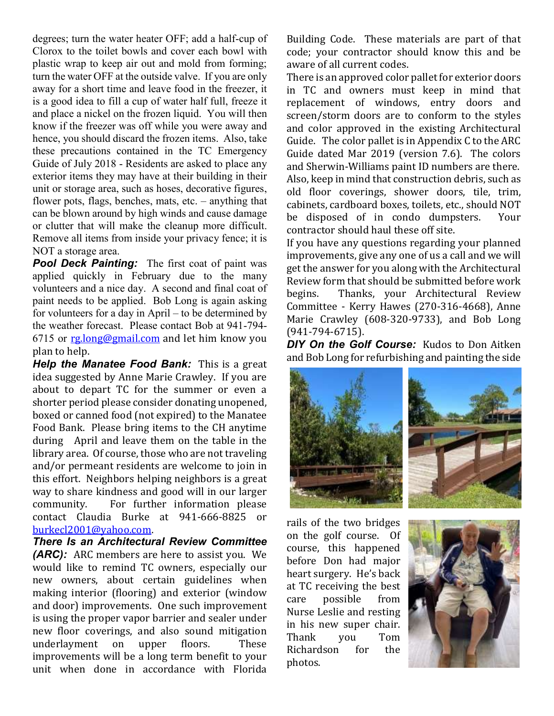degrees; turn the water heater OFF; add a half-cup of Clorox to the toilet bowls and cover each bowl with plastic wrap to keep air out and mold from forming; turn the water OFF at the outside valve. If you are only away for a short time and leave food in the freezer, it is a good idea to fill a cup of water half full, freeze it and place a nickel on the frozen liquid. You will then know if the freezer was off while you were away and hence, you should discard the frozen items. Also, take these precautions contained in the TC Emergency Guide of July 2018 - Residents are asked to place any exterior items they may have at their building in their unit or storage area, such as hoses, decorative figures, flower pots, flags, benches, mats, etc. – anything that can be blown around by high winds and cause damage or clutter that will make the cleanup more difficult. Remove all items from inside your privacy fence; it is NOT a storage area.

**Pool Deck Painting:** The first coat of paint was applied quickly in February due to the many volunteers and a nice day. A second and final coat of paint needs to be applied. Bob Long is again asking for volunteers for a day in April – to be determined by the weather forecast. Please contact Bob at 941-794- 6715 or rg.long@gmail.com and let him know you plan to help.

*Help the Manatee Food Bank:* This is a great idea suggested by Anne Marie Crawley. If you are about to depart TC for the summer or even a shorter period please consider donating unopened, boxed or canned food (not expired) to the Manatee Food Bank. Please bring items to the CH anytime during April and leave them on the table in the library area. Of course, those who are not traveling and/or permeant residents are welcome to join in this effort. Neighbors helping neighbors is a great way to share kindness and good will in our larger community. For further information please contact Claudia Burke at 941-666-8825 or burkecl2001@yahoo.com.

*There Is an Architectural Review Committee (ARC):* ARC members are here to assist you. We would like to remind TC owners, especially our new owners, about certain guidelines when making interior (flooring) and exterior (window and door) improvements. One such improvement is using the proper vapor barrier and sealer under new floor coverings, and also sound mitigation underlayment on upper floors. These improvements will be a long term benefit to your unit when done in accordance with Florida

Building Code. These materials are part of that code; your contractor should know this and be aware of all current codes.

There is an approved color pallet for exterior doors in TC and owners must keep in mind that replacement of windows, entry doors and screen/storm doors are to conform to the styles and color approved in the existing Architectural Guide. The color pallet is in Appendix C to the ARC Guide dated Mar 2019 (version 7.6). The colors and Sherwin-Williams paint ID numbers are there. Also, keep in mind that construction debris, such as old floor coverings, shower doors, tile, trim, cabinets, cardboard boxes, toilets, etc., should NOT be disposed of in condo dumpsters. Your contractor should haul these off site.

If you have any questions regarding your planned improvements, give any one of us a call and we will get the answer for you along with the Architectural Review form that should be submitted before work begins. Thanks, your Architectural Review Committee - Kerry Hawes (270-316-4668), Anne Marie Crawley (608-320-9733), and Bob Long (941-794-6715).

*DIY On the Golf Course:* Kudos to Don Aitken and Bob Long for refurbishing and painting the side





rails of the two bridges on the golf course. Of course, this happened before Don had major heart surgery. He's back at TC receiving the best care possible from Nurse Leslie and resting in his new super chair. Thank you Tom Richardson for the photos.

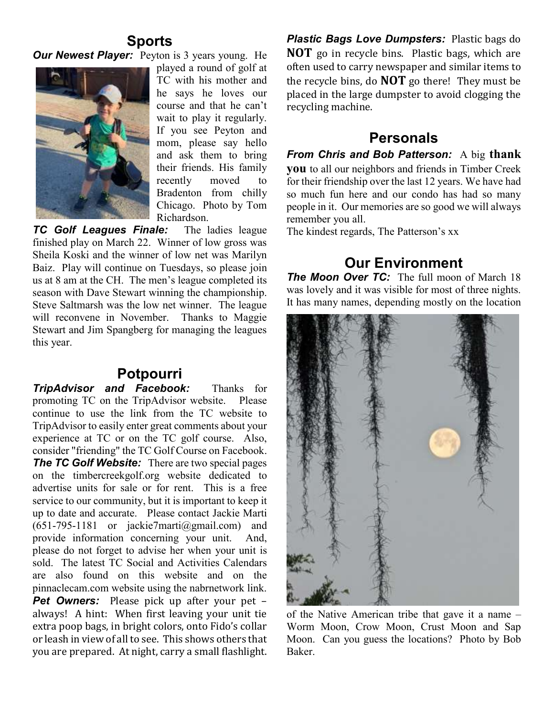# **Sports**

*Our Newest Player:* Peyton is 3 years young. He



played a round of golf at TC with his mother and he says he loves our course and that he can't wait to play it regularly. If you see Peyton and mom, please say hello and ask them to bring their friends. His family recently moved to Bradenton from chilly Chicago. Photo by Tom Richardson.

*TC Golf Leagues Finale:*The ladies league finished play on March 22. Winner of low gross was Sheila Koski and the winner of low net was Marilyn Baiz. Play will continue on Tuesdays, so please join us at 8 am at the CH. The men's league completed its season with Dave Stewart winning the championship. Steve Saltmarsh was the low net winner. The league will reconvene in November. Thanks to Maggie Stewart and Jim Spangberg for managing the leagues this year.

## **Potpourri**

*TripAdvisor and Facebook:* Thanks for promoting TC on the TripAdvisor website.Please continue to use the link from the TC website to TripAdvisor to easily enter great comments about your experience at TC or on the TC golf course. Also, consider "friending" the TC Golf Course on Facebook. *The TC Golf Website:* There are two special pages on the timbercreekgolf.org website dedicated to advertise units for sale or for rent. This is a free service to our community, but it is important to keep it up to date and accurate. Please contact Jackie Marti  $(651-795-1181$  or jackie7marti@gmail.com) and provide information concerning your unit. And, please do not forget to advise her when your unit is sold. The latest TC Social and Activities Calendars are also found on this website and on the pinnaclecam.com website using the nabrnetwork link.

**Pet Owners:** Please pick up after your pet – always! A hint: When first leaving your unit tie extra poop bags, in bright colors, onto Fido's collar or leash in view of all to see. This shows others that you are prepared. At night, carry a small flashlight.

*Plastic Bags Love Dumpsters:* Plastic bags do **NOT** go in recycle bins. Plastic bags, which are often used to carry newspaper and similar items to the recycle bins, do **NOT** go there! They must be placed in the large dumpster to avoid clogging the recycling machine.

# **Personals**

*From Chris and Bob Patterson:*A big **thank** 

**you** to all our neighbors and friends in Timber Creek for their friendship over the last 12 years. We have had so much fun here and our condo has had so many people in it. Our memories are so good we will always remember you all.

The kindest regards, The Patterson's xx

# **Our Environment**

**The Moon Over TC:** The full moon of March 18 was lovely and it was visible for most of three nights. It has many names, depending mostly on the location



of the Native American tribe that gave it a name – Worm Moon, Crow Moon, Crust Moon and Sap Moon. Can you guess the locations? Photo by Bob Baker.